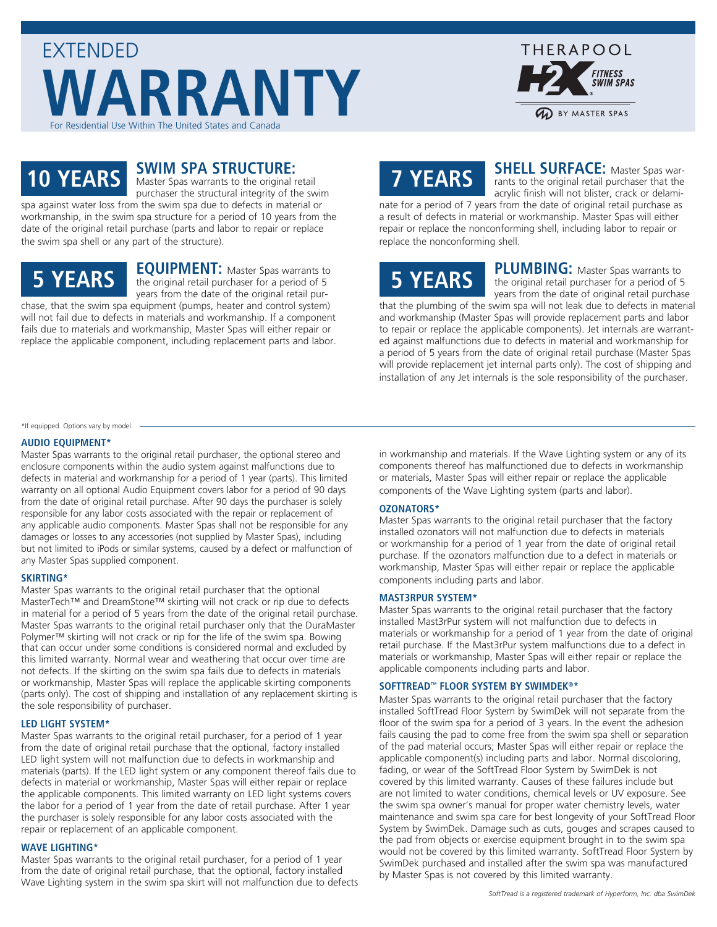



### **10 YEARS**

### **SWIM SPA STRUCTURE:**

Master Spas warrants to the original retail purchaser the structural integrity of the swim spa against water loss from the swim spa due to defects in material or workmanship, in the swim spa structure for a period of 10 years from the date of the original retail purchase (parts and labor to repair or replace the swim spa shell or any part of the structure).

### **5 YEARS**

**EQUIPMENT:** Master Spas warrants to the original retail purchaser for a period of 5 years from the date of the original retail purchase, that the swim spa equipment (pumps, heater and control system)

will not fail due to defects in materials and workmanship. If a component fails due to materials and workmanship, Master Spas will either repair or replace the applicable component, including replacement parts and labor.

## **7 YEARS**

**SHELL SURFACE:** Master Spas warrants to the original retail purchaser that the acrylic finish will not blister, crack or delami-

nate for a period of 7 years from the date of original retail purchase as a result of defects in material or workmanship. Master Spas will either repair or replace the nonconforming shell, including labor to repair or replace the nonconforming shell.

# **5 YEARS**

**PLUMBING:** Master Spas warrants to the original retail purchaser for a period of 5 years from the date of original retail purchase

that the plumbing of the swim spa will not leak due to defects in material and workmanship (Master Spas will provide replacement parts and labor to repair or replace the applicable components). Jet internals are warranted against malfunctions due to defects in material and workmanship for a period of 5 years from the date of original retail purchase (Master Spas will provide replacement jet internal parts only). The cost of shipping and installation of any Jet internals is the sole responsibility of the purchaser.

#### \*If equipped. Options vary by model.

#### **AUDIO EQUIPMENT\***

Master Spas warrants to the original retail purchaser, the optional stereo and enclosure components within the audio system against malfunctions due to defects in material and workmanship for a period of 1 year (parts). This limited warranty on all optional Audio Equipment covers labor for a period of 90 days from the date of original retail purchase. After 90 days the purchaser is solely responsible for any labor costs associated with the repair or replacement of any applicable audio components. Master Spas shall not be responsible for any damages or losses to any accessories (not supplied by Master Spas), including but not limited to iPods or similar systems, caused by a defect or malfunction of any Master Spas supplied component.

#### **SKIRTING\***

Master Spas warrants to the original retail purchaser that the optional MasterTech™ and DreamStone™ skirting will not crack or rip due to defects in material for a period of 5 years from the date of the original retail purchase. Master Spas warrants to the original retail purchaser only that the DuraMaster Polymer™ skirting will not crack or rip for the life of the swim spa. Bowing that can occur under some conditions is considered normal and excluded by this limited warranty. Normal wear and weathering that occur over time are not defects. If the skirting on the swim spa fails due to defects in materials or workmanship, Master Spas will replace the applicable skirting components (parts only). The cost of shipping and installation of any replacement skirting is the sole responsibility of purchaser.

#### **LED LIGHT SYSTEM\***

Master Spas warrants to the original retail purchaser, for a period of 1 year from the date of original retail purchase that the optional, factory installed LED light system will not malfunction due to defects in workmanship and materials (parts). If the LED light system or any component thereof fails due to defects in material or workmanship, Master Spas will either repair or replace the applicable components. This limited warranty on LED light systems covers the labor for a period of 1 year from the date of retail purchase. After 1 year the purchaser is solely responsible for any labor costs associated with the repair or replacement of an applicable component.

#### **WAVE LIGHTING\***

Master Spas warrants to the original retail purchaser, for a period of 1 year from the date of original retail purchase, that the optional, factory installed Wave Lighting system in the swim spa skirt will not malfunction due to defects in workmanship and materials. If the Wave Lighting system or any of its components thereof has malfunctioned due to defects in workmanship or materials, Master Spas will either repair or replace the applicable components of the Wave Lighting system (parts and labor).

#### **OZONATORS\***

Master Spas warrants to the original retail purchaser that the factory installed ozonators will not malfunction due to defects in materials or workmanship for a period of 1 year from the date of original retail purchase. If the ozonators malfunction due to a defect in materials or workmanship, Master Spas will either repair or replace the applicable components including parts and labor.

#### **MAST3RPUR SYSTEM\***

Master Spas warrants to the original retail purchaser that the factory installed Mast3rPur system will not malfunction due to defects in materials or workmanship for a period of 1 year from the date of original retail purchase. If the Mast3rPur system malfunctions due to a defect in materials or workmanship, Master Spas will either repair or replace the applicable components including parts and labor.

#### **SOFTTREAD™ FLOOR SYSTEM BY SWIMDEK®\***

Master Spas warrants to the original retail purchaser that the factory installed SoftTread Floor System by SwimDek will not separate from the floor of the swim spa for a period of 3 years. In the event the adhesion fails causing the pad to come free from the swim spa shell or separation of the pad material occurs; Master Spas will either repair or replace the applicable component(s) including parts and labor. Normal discoloring, fading, or wear of the SoftTread Floor System by SwimDek is not covered by this limited warranty. Causes of these failures include but are not limited to water conditions, chemical levels or UV exposure. See the swim spa owner's manual for proper water chemistry levels, water maintenance and swim spa care for best longevity of your SoftTread Floor System by SwimDek. Damage such as cuts, gouges and scrapes caused to the pad from objects or exercise equipment brought in to the swim spa would not be covered by this limited warranty. SoftTread Floor System by SwimDek purchased and installed after the swim spa was manufactured by Master Spas is not covered by this limited warranty.